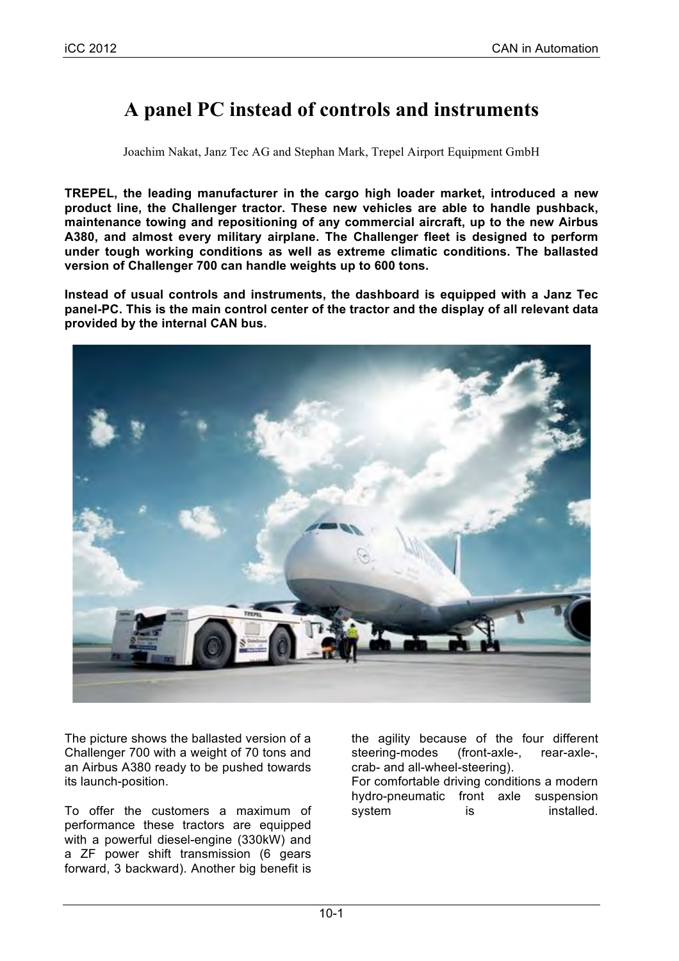# **A panel PC instead of controls and instruments**

Joachim Nakat, Janz Tec AG and Stephan Mark, Trepel Airport Equipment GmbH

**TREPEL, the leading manufacturer in the cargo high loader market, introduced a new product line, the Challenger tractor. These new vehicles are able to handle pushback, maintenance towing and repositioning of any commercial aircraft, up to the new Airbus A380, and almost every military airplane. The Challenger fleet is designed to perform under tough working conditions as well as extreme climatic conditions. The ballasted version of Challenger 700 can handle weights up to 600 tons.**

**Instead of usual controls and instruments, the dashboard is equipped with a Janz Tec panel-PC. This is the main control center of the tractor and the display of all relevant data provided by the internal CAN bus.**



The picture shows the ballasted version of a Challenger 700 with a weight of 70 tons and an Airbus A380 ready to be pushed towards its launch-position.

To offer the customers a maximum of performance these tractors are equipped with a powerful diesel-engine (330kW) and a ZF power shift transmission (6 gears forward, 3 backward). Another big benefit is the agility because of the four different steering-modes (front-axle-, rear-axle-, crab- and all-wheel-steering).

For comfortable driving conditions a modern hydro-pneumatic front axle suspension system is installed.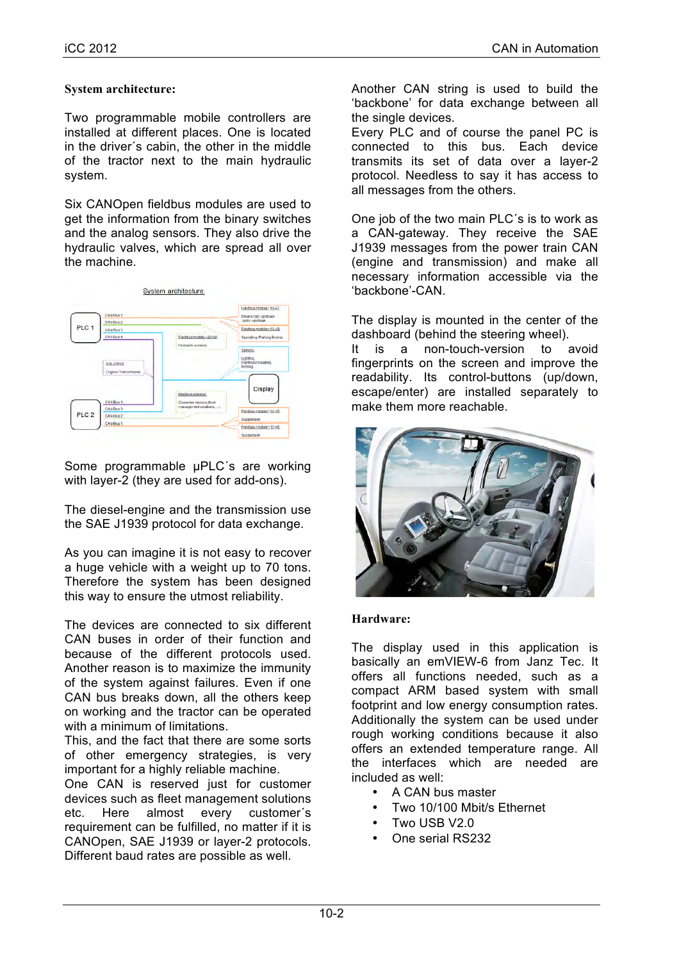### **System architecture:**

Two programmable mobile controllers are installed at different places. One is located in the driver´s cabin, the other in the middle of the tractor next to the main hydraulic system.

Six CANOpen fieldbus modules are used to get the information from the binary switches and the analog sensors. They also drive the hydraulic valves, which are spread all over the machine.



Some programmable µPLC's are working with layer-2 (they are used for add-ons).

The diesel-engine and the transmission use the SAE J1939 protocol for data exchange.

As you can imagine it is not easy to recover a huge vehicle with a weight up to 70 tons. Therefore the system has been designed this way to ensure the utmost reliability.

The devices are connected to six different CAN buses in order of their function and because of the different protocols used. Another reason is to maximize the immunity of the system against failures. Even if one CAN bus breaks down, all the others keep on working and the tractor can be operated with a minimum of limitations.

This, and the fact that there are some sorts of other emergency strategies, is very important for a highly reliable machine.

One CAN is reserved just for customer devices such as fleet management solutions etc. Here almost every customer´s requirement can be fulfilled, no matter if it is CANOpen, SAE J1939 or layer-2 protocols. Different baud rates are possible as well.

Another CAN string is used to build the 'backbone' for data exchange between all the single devices.

Every PLC and of course the panel PC is connected to this bus. Each device transmits its set of data over a layer-2 protocol. Needless to say it has access to all messages from the others.

One job of the two main PLC´s is to work as a CAN-gateway. They receive the SAE J1939 messages from the power train CAN (engine and transmission) and make all necessary information accessible via the 'backbone'-CAN.

The display is mounted in the center of the dashboard (behind the steering wheel).

It is a non-touch-version to avoid fingerprints on the screen and improve the readability. Its control-buttons (up/down, escape/enter) are installed separately to make them more reachable.



#### **Hardware:**

The display used in this application is basically an emVIEW-6 from Janz Tec. It offers all functions needed, such as a compact ARM based system with small footprint and low energy consumption rates. Additionally the system can be used under rough working conditions because it also offers an extended temperature range. All the interfaces which are needed are included as well:

- A CAN bus master
- Two 10/100 Mbit/s Ethernet
- Two USB V2.0
- One serial RS232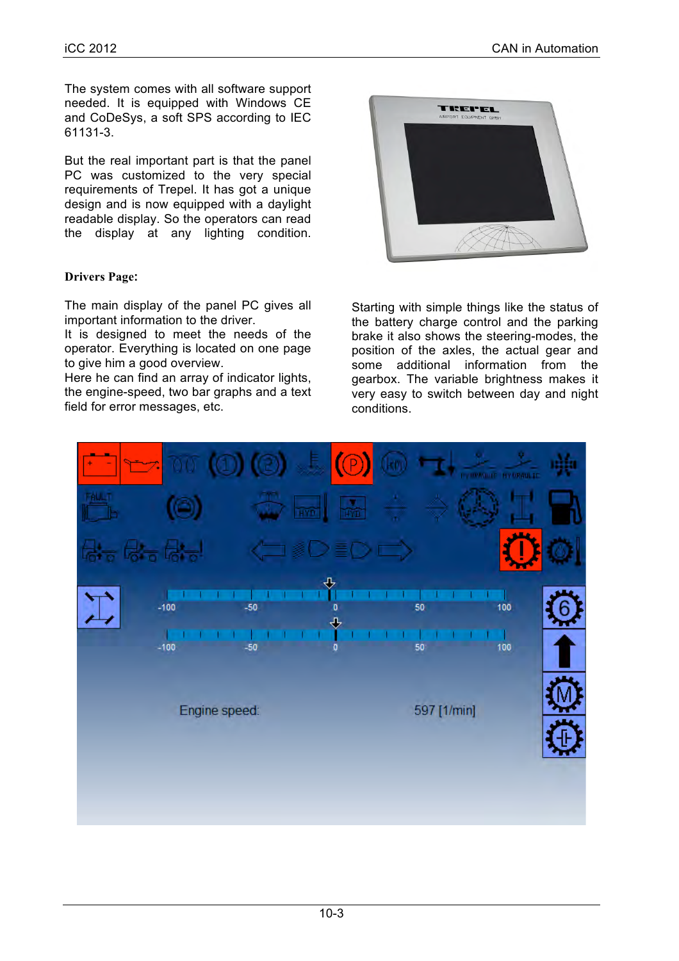The system comes with all software support needed. It is equipped with Windows CE and CoDeSys, a soft SPS according to IEC 61131-3.

But the real important part is that the panel PC was customized to the very special requirements of Trepel. It has got a unique design and is now equipped with a daylight readable display. So the operators can read the display at any lighting condition.

## **Drivers Page:**

The main display of the panel PC gives all important information to the driver.

It is designed to meet the needs of the operator. Everything is located on one page to give him a good overview.

Here he can find an array of indicator lights, the engine-speed, two bar graphs and a text field for error messages, etc.



Starting with simple things like the status of the battery charge control and the parking brake it also shows the steering-modes, the position of the axles, the actual gear and some additional information from the gearbox. The variable brightness makes it very easy to switch between day and night conditions.

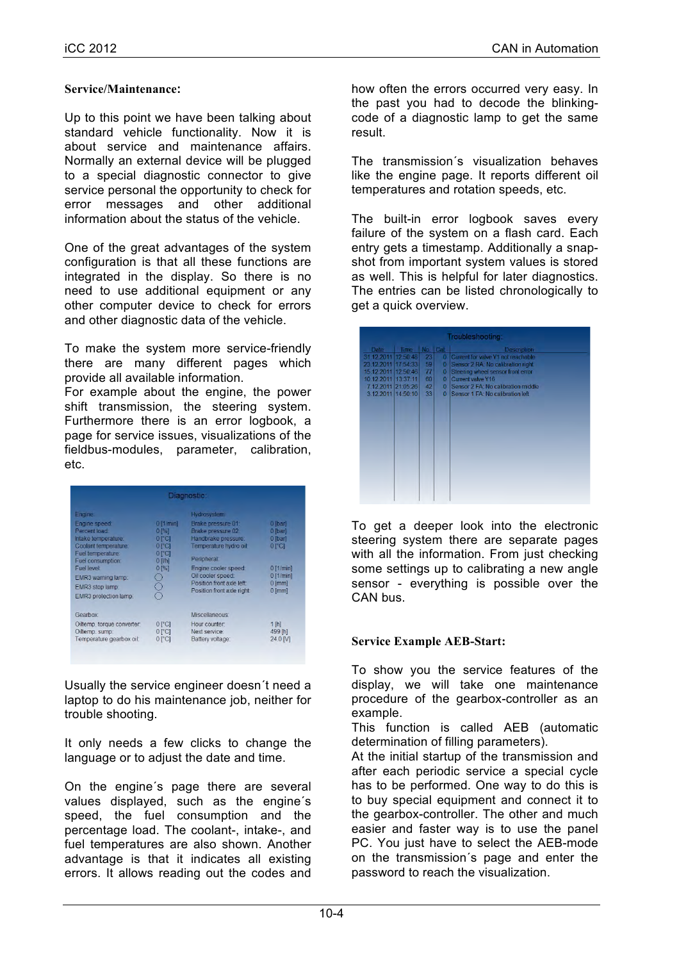### **Service/Maintenance:**

Up to this point we have been talking about standard vehicle functionality. Now it is about service and maintenance affairs. Normally an external device will be plugged to a special diagnostic connector to give service personal the opportunity to check for error messages and other additional information about the status of the vehicle.

One of the great advantages of the system configuration is that all these functions are integrated in the display. So there is no need to use additional equipment or any other computer device to check for errors and other diagnostic data of the vehicle.

To make the system more service-friendly there are many different pages which provide all available information.

For example about the engine, the power shift transmission, the steering system. Furthermore there is an error logbook, a page for service issues, visualizations of the fieldbus-modules, parameter, calibration, etc.

|                                                                                                                                                                                 |                                                                                    | Diagnostic:                                                                                                                                                                                                      |                                                                                               |
|---------------------------------------------------------------------------------------------------------------------------------------------------------------------------------|------------------------------------------------------------------------------------|------------------------------------------------------------------------------------------------------------------------------------------------------------------------------------------------------------------|-----------------------------------------------------------------------------------------------|
| Engine:                                                                                                                                                                         |                                                                                    | Hydrosystem:                                                                                                                                                                                                     |                                                                                               |
| Engine speed:<br>Percent load:<br>Intake temperature:<br>Coolant temperature:<br>Fuel temperature:<br>Fuel consumption:<br>Fuel level:<br>EMR3 warning lamp:<br>EMR3 stop lamp: | $0$ [1/min]<br>$0^{96}$<br>$01$ Cl<br>$0$ $C1$<br>$0°$ Cl<br>$0$ [ $Vh$ ]<br>0 [%] | Brake pressure 01:<br>Brake pressure 02:<br>Handbrake pressure:<br>Temperature hydro oil:<br>Peripheral:<br>Engine cooler speed:<br>Oil cooler speed:<br>Position front axle left:<br>Position front axle right: | 0 [bar]<br>0 [bar]<br>0 [bar]<br>0 [°C]<br>$0$ [1/min]<br>$0$ [1/min]<br>$0$ [mm]<br>$0$ [mm] |
| EMR3 protection lamp:<br><b>Gearbox</b>                                                                                                                                         |                                                                                    | Miscellaneous:                                                                                                                                                                                                   |                                                                                               |
| Oiltemp, torque converter:<br>Oiltemp. sump:<br>Temperature gearbox oil:                                                                                                        | $0°$ Cl<br>$0°$ C<br>$0°$ C                                                        | Hour counter:<br>Next service:<br>Battery voltage:                                                                                                                                                               | $1$ [h]<br>499 [h]<br>24.0 M                                                                  |
|                                                                                                                                                                                 |                                                                                    |                                                                                                                                                                                                                  |                                                                                               |

Usually the service engineer doesn´t need a laptop to do his maintenance job, neither for trouble shooting.

It only needs a few clicks to change the language or to adjust the date and time.

On the engine´s page there are several values displayed, such as the engine´s speed, the fuel consumption and the percentage load. The coolant-, intake-, and fuel temperatures are also shown. Another advantage is that it indicates all existing errors. It allows reading out the codes and

how often the errors occurred very easy. In the past you had to decode the blinkingcode of a diagnostic lamp to get the same result.

The transmission´s visualization behaves like the engine page. It reports different oil temperatures and rotation speeds, etc.

The built-in error logbook saves every failure of the system on a flash card. Each entry gets a timestamp. Additionally a snapshot from important system values is stored as well. This is helpful for later diagnostics. The entries can be listed chronologically to get a quick overview.

|                     |          |          |                | Troubleshooting:                   |
|---------------------|----------|----------|----------------|------------------------------------|
| Date                | Time:    | No. Cat. |                | Description                        |
| 31.12.2011          | 12:50:48 | 23       | $\overline{0}$ | Current for valve Y1 not reachable |
| 23.12.2011 17:54:33 |          | 59       | $\overline{0}$ | Sensor 2 RA: No calibration right  |
| 15.12.2011 12:50:46 |          | 77       | $\mathbf{0}$   | Steering wheel sensor front error  |
| 10.12.2011 13:37:11 |          | 60       | $\overline{0}$ | Current valve Y16                  |
| 7.12.2011 21:05:26  |          | 42       | $\Omega$       | Sensor 2 FA: No calibration middle |
| 3.12.2011 14:50:10  |          | 33       | $\Omega$       | Sensor 1 FA: No calibration left   |
|                     |          |          |                |                                    |

To get a deeper look into the electronic steering system there are separate pages with all the information. From just checking some settings up to calibrating a new angle sensor - everything is possible over the CAN bus.

### **Service Example AEB-Start:**

To show you the service features of the display, we will take one maintenance procedure of the gearbox-controller as an example.

This function is called AEB (automatic determination of filling parameters).

At the initial startup of the transmission and after each periodic service a special cycle has to be performed. One way to do this is to buy special equipment and connect it to the gearbox-controller. The other and much easier and faster way is to use the panel PC. You just have to select the AEB-mode on the transmission´s page and enter the password to reach the visualization.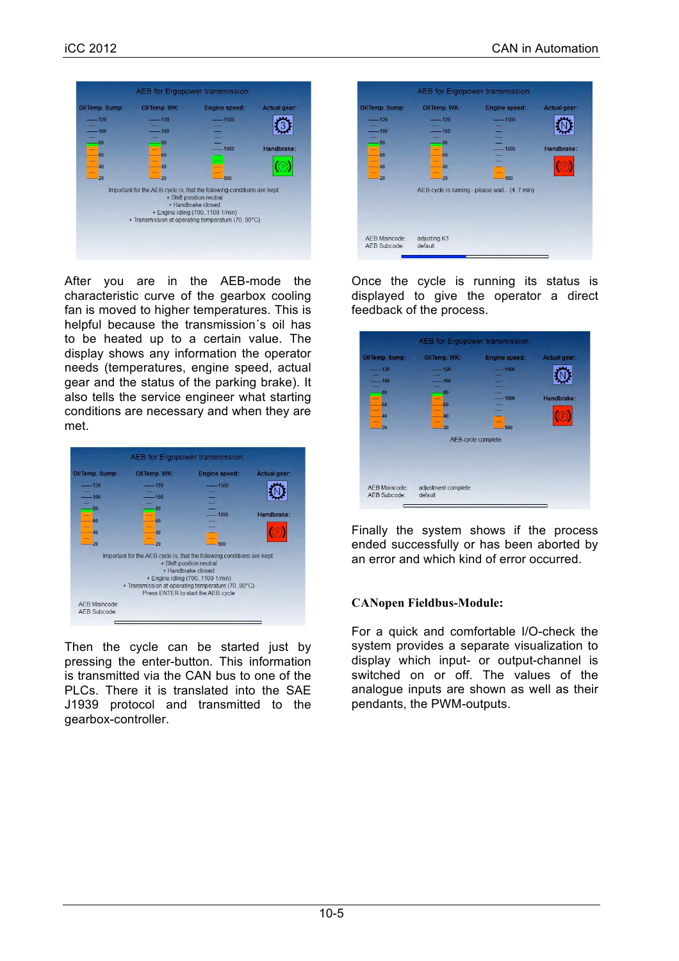

After you are in the AEB-mode the characteristic curve of the gearbox cooling fan is moved to higher temperatures. This is helpful because the transmission´s oil has to be heated up to a certain value. The display shows any information the operator needs (temperatures, engine speed, actual gear and the status of the parking brake). It also tells the service engineer what starting conditions are necessary and when they are met.



Then the cycle can be started just by pressing the enter-button. This information is transmitted via the CAN bus to one of the PLCs. There it is translated into the SAE J1939 protocol and transmitted to the gearbox-controller.

| OilTemp. Sump:                | OilTemp. WK:                | Engine speed:                               | Actual gear: |
|-------------------------------|-----------------------------|---------------------------------------------|--------------|
| 120<br>100<br>80              | 120<br>100<br>80            | 1500                                        |              |
| 60<br>40<br>20                | 60<br>40<br>$\overline{20}$ | 1000<br>500                                 | Handbrake:   |
|                               |                             | AEB-cycle is running - please wait (47 min) |              |
| AEB Maincode:<br>AEB Subcode: | adjusting K1<br>default     |                                             |              |

Once the cycle is running its status is displayed to give the operator a direct feedback of the process.

|                                                      |                                                    | <b>AEB</b> for Ergopower transmission:                               |                            |
|------------------------------------------------------|----------------------------------------------------|----------------------------------------------------------------------|----------------------------|
| OilTemp. Sump:<br>120<br>100<br>80<br>60<br>40<br>20 | OilTemp. WK:<br>120<br>100<br>80<br>60<br>40<br>20 | <b>Engine speed:</b><br>$-1500$<br>1000<br>500<br>AEB-cycle complete | Actual gear:<br>Handbrake: |
| <b>AEB Maincode:</b><br>AEB Subcode:                 | adjustment complete<br>default                     |                                                                      |                            |

Finally the system shows if the process ended successfully or has been aborted by an error and which kind of error occurred.

### **CANopen Fieldbus-Module:**

For a quick and comfortable I/O-check the system provides a separate visualization to display which input- or output-channel is switched on or off. The values of the analogue inputs are shown as well as their pendants, the PWM-outputs.